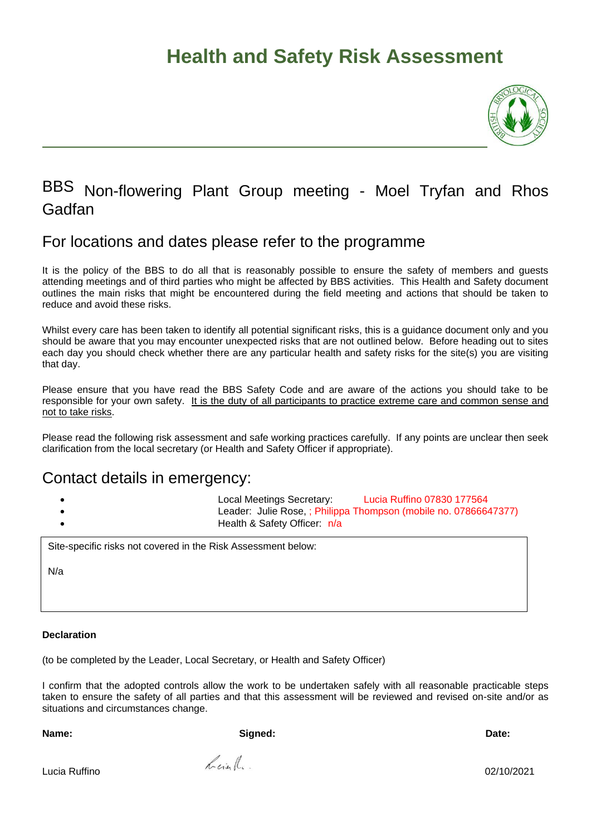

### BBS Non-flowering Plant Group meeting - Moel Tryfan and Rhos Gadfan

#### For locations and dates please refer to the programme

It is the policy of the BBS to do all that is reasonably possible to ensure the safety of members and guests attending meetings and of third parties who might be affected by BBS activities. This Health and Safety document outlines the main risks that might be encountered during the field meeting and actions that should be taken to reduce and avoid these risks.

Whilst every care has been taken to identify all potential significant risks, this is a guidance document only and you should be aware that you may encounter unexpected risks that are not outlined below. Before heading out to sites each day you should check whether there are any particular health and safety risks for the site(s) you are visiting that day.

Please ensure that you have read the BBS Safety Code and are aware of the actions you should take to be responsible for your own safety. It is the duty of all participants to practice extreme care and common sense and not to take risks.

Please read the following risk assessment and safe working practices carefully. If any points are unclear then seek clarification from the local secretary (or Health and Safety Officer if appropriate).

#### Contact details in emergency:

• Local Meetings Secretary: Lucia Ruffino 07830 177564 Leader: Julie Rose, ; Philippa Thompson (mobile no. 07866647377) • Health & Safety Officer: n/a

Site-specific risks not covered in the Risk Assessment below:

N/a

#### **Declaration**

(to be completed by the Leader, Local Secretary, or Health and Safety Officer)

I confirm that the adopted controls allow the work to be undertaken safely with all reasonable practicable steps taken to ensure the safety of all parties and that this assessment will be reviewed and revised on-site and/or as situations and circumstances change.

**Name: Signed: Date:** 

Lucia Ruffino 02/10/2021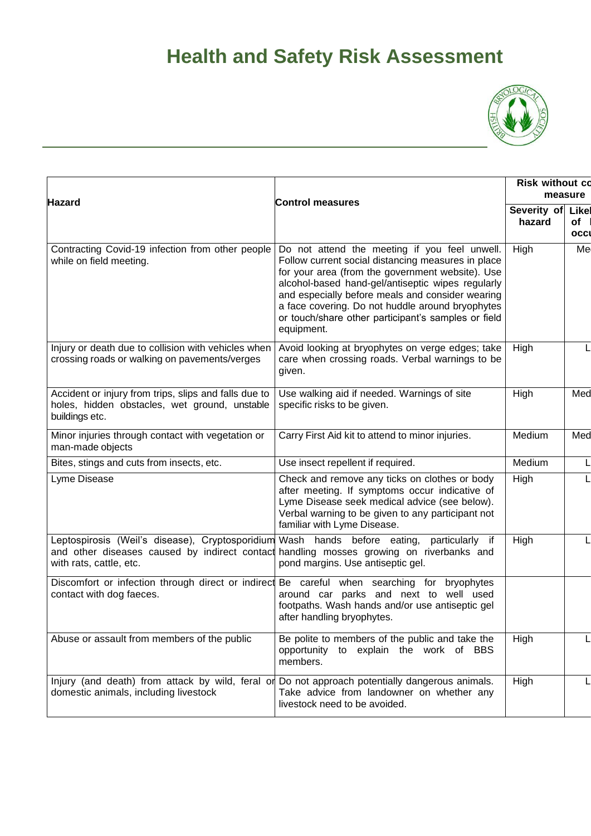

| Hazard                                                                                                                                                                                                          | <b>Control measures</b>                                                                                                                                                                                                                                                                                                                                                                   | <b>Risk without co</b><br>measure |                     |
|-----------------------------------------------------------------------------------------------------------------------------------------------------------------------------------------------------------------|-------------------------------------------------------------------------------------------------------------------------------------------------------------------------------------------------------------------------------------------------------------------------------------------------------------------------------------------------------------------------------------------|-----------------------------------|---------------------|
|                                                                                                                                                                                                                 |                                                                                                                                                                                                                                                                                                                                                                                           | Severity of<br>hazard             | Likel<br>of<br>occl |
| Contracting Covid-19 infection from other people<br>while on field meeting.                                                                                                                                     | Do not attend the meeting if you feel unwell.<br>Follow current social distancing measures in place<br>for your area (from the government website). Use<br>alcohol-based hand-gel/antiseptic wipes regularly<br>and especially before meals and consider wearing<br>a face covering. Do not huddle around bryophytes<br>or touch/share other participant's samples or field<br>equipment. | High                              | Me                  |
| Injury or death due to collision with vehicles when<br>crossing roads or walking on pavements/verges                                                                                                            | Avoid looking at bryophytes on verge edges; take<br>care when crossing roads. Verbal warnings to be<br>given.                                                                                                                                                                                                                                                                             | High                              |                     |
| Accident or injury from trips, slips and falls due to<br>holes, hidden obstacles, wet ground, unstable<br>buildings etc.                                                                                        | Use walking aid if needed. Warnings of site<br>specific risks to be given.                                                                                                                                                                                                                                                                                                                | High                              | Med                 |
| Minor injuries through contact with vegetation or<br>man-made objects                                                                                                                                           | Carry First Aid kit to attend to minor injuries.                                                                                                                                                                                                                                                                                                                                          | Medium                            | Med                 |
| Bites, stings and cuts from insects, etc.                                                                                                                                                                       | Use insect repellent if required.                                                                                                                                                                                                                                                                                                                                                         | Medium                            | L                   |
| Lyme Disease                                                                                                                                                                                                    | Check and remove any ticks on clothes or body<br>after meeting. If symptoms occur indicative of<br>Lyme Disease seek medical advice (see below).<br>Verbal warning to be given to any participant not<br>familiar with Lyme Disease.                                                                                                                                                      | High                              |                     |
| Leptospirosis (Weil's disease), Cryptosporidium Wash hands before eating, particularly if<br>and other diseases caused by indirect contact handling mosses growing on riverbanks and<br>with rats, cattle, etc. | pond margins. Use antiseptic gel.                                                                                                                                                                                                                                                                                                                                                         | High                              |                     |
| Discomfort or infection through direct or indirect Be careful when searching for<br>contact with dog faeces.                                                                                                    | bryophytes<br>around car parks and next to well used<br>footpaths. Wash hands and/or use antiseptic gel<br>after handling bryophytes.                                                                                                                                                                                                                                                     |                                   |                     |
| Abuse or assault from members of the public                                                                                                                                                                     | Be polite to members of the public and take the<br>opportunity to explain the work of BBS<br>members.                                                                                                                                                                                                                                                                                     | <b>High</b>                       |                     |
| Injury (and death) from attack by wild, feral or Do not approach potentially dangerous animals.<br>domestic animals, including livestock                                                                        | Take advice from landowner on whether any<br>livestock need to be avoided.                                                                                                                                                                                                                                                                                                                | High                              |                     |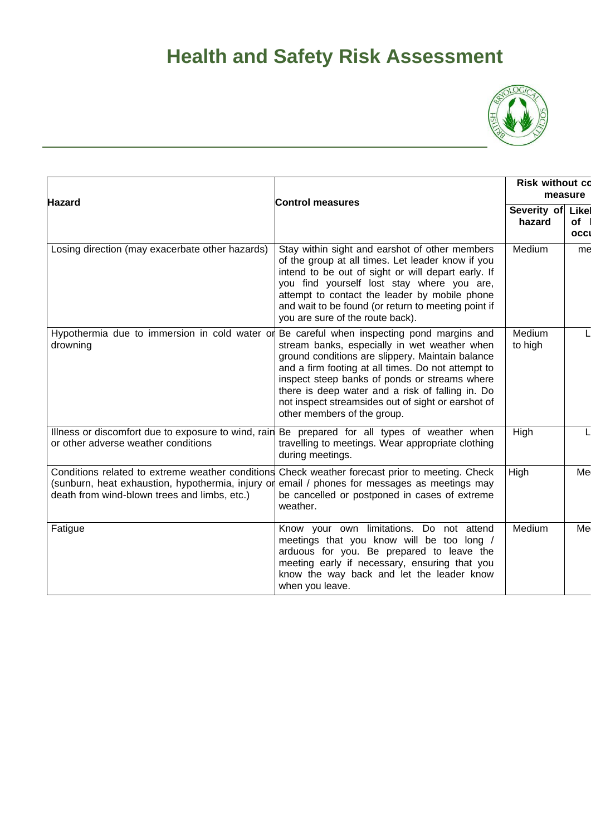

| <b>Hazard</b>                                                                                                                                         | <b>Control measures</b>                                                                                                                                                                                                                                                                                                                             | <b>Risk without co</b><br>measure |                            |
|-------------------------------------------------------------------------------------------------------------------------------------------------------|-----------------------------------------------------------------------------------------------------------------------------------------------------------------------------------------------------------------------------------------------------------------------------------------------------------------------------------------------------|-----------------------------------|----------------------------|
|                                                                                                                                                       |                                                                                                                                                                                                                                                                                                                                                     | Severity of<br>hazard             | Likel<br><b>of</b><br>occl |
| Losing direction (may exacerbate other hazards)                                                                                                       | Stay within sight and earshot of other members<br>of the group at all times. Let leader know if you<br>intend to be out of sight or will depart early. If<br>you find yourself lost stay where you are,<br>attempt to contact the leader by mobile phone<br>and wait to be found (or return to meeting point if<br>you are sure of the route back). | Medium                            | me                         |
| Hypothermia due to immersion in cold water or Be careful when inspecting pond margins and<br>drowning                                                 | stream banks, especially in wet weather when<br>ground conditions are slippery. Maintain balance<br>and a firm footing at all times. Do not attempt to<br>inspect steep banks of ponds or streams where<br>there is deep water and a risk of falling in. Do<br>not inspect streamsides out of sight or earshot of<br>other members of the group.    | Medium<br>to high                 |                            |
| Illness or discomfort due to exposure to wind, rain Be prepared for all types of weather when<br>or other adverse weather conditions                  | travelling to meetings. Wear appropriate clothing<br>during meetings.                                                                                                                                                                                                                                                                               | High                              |                            |
| Conditions related to extreme weather conditions<br>(sunburn, heat exhaustion, hypothermia, injury or<br>death from wind-blown trees and limbs, etc.) | Check weather forecast prior to meeting. Check<br>email / phones for messages as meetings may<br>be cancelled or postponed in cases of extreme<br>weather.                                                                                                                                                                                          | High                              | Me                         |
| Fatigue                                                                                                                                               | Know your own limitations. Do not attend<br>meetings that you know will be too long /<br>arduous for you. Be prepared to leave the<br>meeting early if necessary, ensuring that you<br>know the way back and let the leader know<br>when you leave.                                                                                                 | Medium                            | Me                         |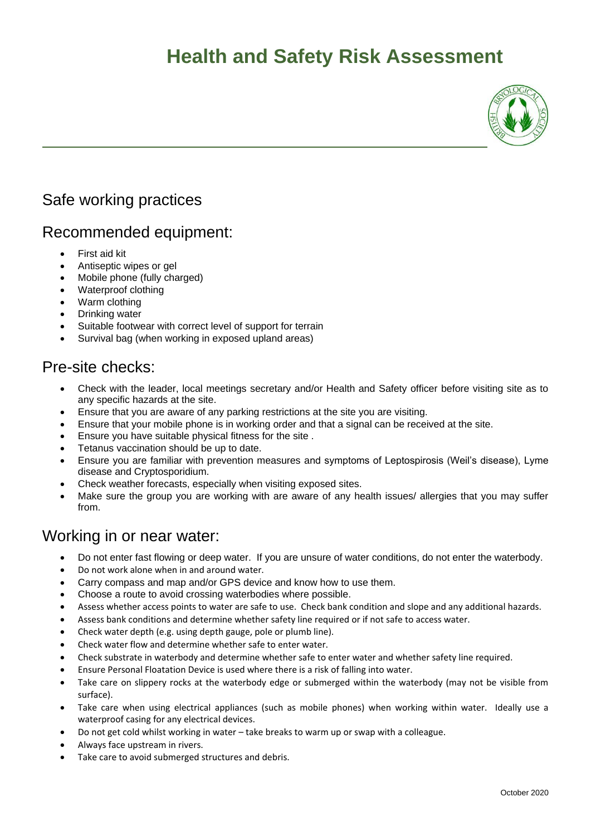

#### Safe working practices

#### Recommended equipment:

- First aid kit
- Antiseptic wipes or gel
- Mobile phone (fully charged)
- Waterproof clothing
- Warm clothing
- Drinking water
- Suitable footwear with correct level of support for terrain
- Survival bag (when working in exposed upland areas)

#### Pre-site checks:

- Check with the leader, local meetings secretary and/or Health and Safety officer before visiting site as to any specific hazards at the site.
- Ensure that you are aware of any parking restrictions at the site you are visiting.
- Ensure that your mobile phone is in working order and that a signal can be received at the site.
- Ensure you have suitable physical fitness for the site .
- Tetanus vaccination should be up to date.
- Ensure you are familiar with prevention measures and symptoms of Leptospirosis (Weil's disease), Lyme disease and Cryptosporidium.
- Check weather forecasts, especially when visiting exposed sites.
- Make sure the group you are working with are aware of any health issues/ allergies that you may suffer from.

#### Working in or near water:

- Do not enter fast flowing or deep water. If you are unsure of water conditions, do not enter the waterbody.
- Do not work alone when in and around water.
- Carry compass and map and/or GPS device and know how to use them.
- Choose a route to avoid crossing waterbodies where possible.
- Assess whether access points to water are safe to use. Check bank condition and slope and any additional hazards.
- Assess bank conditions and determine whether safety line required or if not safe to access water.
- Check water depth (e.g. using depth gauge, pole or plumb line).
- Check water flow and determine whether safe to enter water.
- Check substrate in waterbody and determine whether safe to enter water and whether safety line required.
- Ensure Personal Floatation Device is used where there is a risk of falling into water.
- Take care on slippery rocks at the waterbody edge or submerged within the waterbody (may not be visible from surface).
- Take care when using electrical appliances (such as mobile phones) when working within water. Ideally use a waterproof casing for any electrical devices.
- Do not get cold whilst working in water take breaks to warm up or swap with a colleague.
- Always face upstream in rivers.
- Take care to avoid submerged structures and debris.